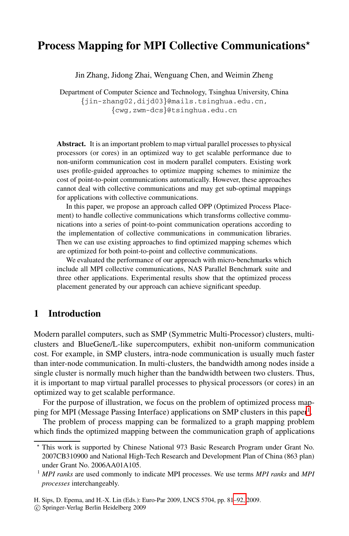# **Process Mapping for MPI Collective Communications***-*

Jin Zhang, Jidong Zhai, Wenguang Chen, and Weimin Zheng

Department of Computer Science and Technology, Tsinghua University, China *{*jin-zhang02,dijd03*}*@mails.tsinghua.edu.cn, *{*cwg,zwm-dcs*}*@tsinghua.edu.cn

**Abstract.** It is an important problem to map virtual parallel processes to physical processors (or cores) in an optimized way to get scalable performance due to non-uniform communication cost in modern parallel computers. Existing work uses profile-guided approaches to optimize mapping schemes to minimize the cost of point-to-point communications automatically. However, these approaches cannot deal with collective communications and may get sub-optimal mappings for applications with collective communications.

In this paper, we propose an approach called OPP (Optimized Process Placement) to handle collective communications which transforms collective communications into a series of point-to-point communication operations according to the implementation of collective communications in communication libraries. Then we can use existing approaches to find optimized mapping schemes which are optimized for both point-to-point and collective communications.

We evaluated the performance of our approach with micro-benchmarks which include all MPI collective communications, NAS Parallel Benchmark suite and three other applications. Experimental results show that the optimized process placement generated by our approach can achieve significant speedup.

# **1 Introduction**

Modern parallel computers, such as SMP (Symmetric Multi-Processor) clusters, multiclusters and BlueGene/L-like supercomputers, exhibit non-uniform communication cost. For example, in SMP clusters, intra-node communication is usually much faster than inter-node communication. In multi-clusters, the bandwidth among nodes inside a single cluster is normally much higher than the bandwidth between two clusters. Thus, it is important to map virtual parallel processes to physical processors (or cores) in an optimized way to get scalable performance.

For the purpose of illustration, we focus on the problem of optimized process mapping for MPI (Message Passing Interface) applications on SMP clusters in this paper<sup>1</sup>.

The problem of process mapping ca[n be](#page-11-0) formalized to a graph mapping problem which finds the optimized mapping between the communication graph of applications

<sup>-</sup> This work is supported by Chinese National 973 Basic Research Program under Grant No. 2007CB310900 and National High-Tech Research and Development Plan of China (863 plan) under Grant No. 2006AA01A105.

<sup>1</sup> *MPI ranks* are used commonly to indicate MPI processes. We use terms *MPI ranks* and *MPI processes* interchangeably.

H. Sips, D. Epema, and H.-X. Lin (Eds.): Euro-Par 2009, LNCS 5704, pp. 81–92, 2009.

<sup>-</sup>c Springer-Verlag Berlin Heidelberg 2009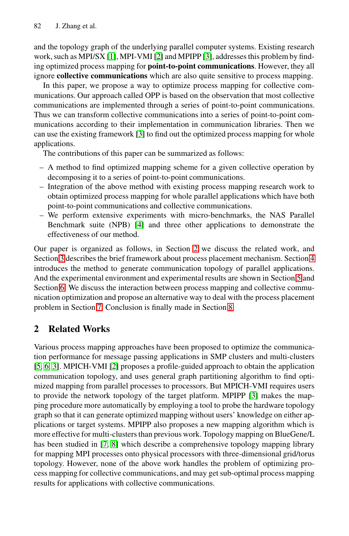and the topology graph of the underlying parallel computer systems. Existing research work, such [as](#page-10-0) MPI/SX [1], MPI-VMI [2] and MPIPP [3], addresses this problem by finding optimized process mapping for **point-to-point communications**. However, they all ignore **collective communications** which are also quite sensitive to process mapping.

In this paper, we propose a way to optimize process mapping for collective communications. Our approach called OPP is based on the observation that most collective communications are implemented through a series of point-to-point communications. Thus we can transform collective communications into a series of point-to-point communications according to their implementation in communication libraries. Then we can use the existing framework [3] to find out the optimized process mapping for whole applications.

The co[ntri](#page-10-1)butions of this paper can be summarized as follows:

- A method to find optimized mapping scheme for a given collective operation by decomposing it to a seri[es](#page-1-0) of point-to-point communications.
- Integration of the above method with existing process map[pi](#page-3-0)ng research work to obtain optimized process mapping for whole parallel applications which have both point-to-point communications and collective communi[cat](#page-6-0)ions.
- We perform extensive experiments with micro-benchmarks, the NAS Parallel Benchmark suite (NPB) [4] and [t](#page-10-2)hree other applications to demonstrate the effectiveness of our method.

<span id="page-1-0"></span>Our paper is organized as follows, in Section 2 we discuss the related work, and Section 3 describes the brief framework about process placement mechanism. Section 4 introduces the method to generate communication topology of parallel applications. And the experimental environment and experimental results are shown in Section 5 and Se[cti](#page-10-3)on 6. We discuss the interaction between process mapping and collective communication optimization and propose an alternative way to deal with the process placement problem in Section 7. Conclusion is finally made in Section 8.

# **2 Related Works**

Various process mapping approaches have been proposed to optimize the communication performance for message passing applications in SMP clusters and multi-clusters [\[5,](#page-11-1) [6,](#page-11-2) 3]. MPICH-VMI [2] proposes a profile-guided approach to obtain the application communication topology, and uses general graph partitioning algorithm to find optimized mapping from parallel processes to processors. But MPICH-VMI requires users to provide the network topology of the target platform. MPIPP [3] makes the mapping procedure more automatically by employing a tool to probe the hardware topology graph so that it can generate optimized mapping without users' knowledge on either applications or target systems. MPIPP also proposes a new mapping algorithm which is more effective for multi-clusters than previous work. Topology mapping on BlueGene/L has been studied in [7, 8] which describe a comprehensive topology mapping library for mapping MPI processes onto physical processors with three-dimensional grid/torus topology. However, none of the above work handles the problem of optimizing process mapping for collective communications, and may get sub-optimal process mapping results for applications with collective communications.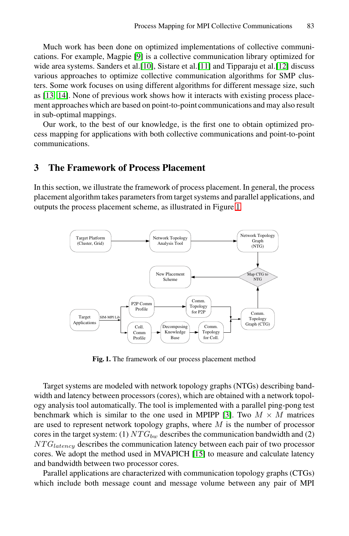<span id="page-2-1"></span>Much work has been done on optimized implementations of collective communications. For example, Magpie [9] is a collective communication library optimized for wide area systems. Sanders et al.[10], Sistare et al.[11] and Tipparaju et al.[12] discuss various approaches to optimize collective communication algorithms for SMP clusters. Some work focuses on using different algorithms for different message size, such as [13, 14]. None of previous work shows how it interacts with existing process placement approaches which are based on point-to-point communications and may also result in sub-optimal mappings.

Our work, to the best of our knowledge, is the first one to obtain optimized process mapping for applications with both [co](#page-2-0)llective communications and point-to-point communications.

## **3 The Framework of Process Placement**

In this section, we illustrate the framework of process placement. In general, the process placement algorithm takes parameters from target systems and parallel applications, and outputs the process placement scheme, as illustrated in Figure 1.

<span id="page-2-0"></span>

**Fig. 1.** The framework of our process placement method

Target systems are model[ed](#page-11-3) [w](#page-11-3)ith network topology graphs (NTGs) describing bandwidth and latency between processors (cores), which are obtained with a network topology analysis tool automatically. The tool is implemented with a parallel ping-pong test benchmark which is similar to the one used in MPIPP [3]. Two  $M \times M$  matrices are used to represent network topology graphs, where *M* is the number of processor cores in the target system: (1) *NTGbw* describes the communication bandwidth and (2) *NTGlatency* describes the communication latency between each pair of two processor cores. We adopt the method used in MVAPICH [15] to measure and calculate latency and bandwidth between two processor cores.

Parallel applications are characterized with communication topology graphs (CTGs) which include both message count and message volume between any pair of MPI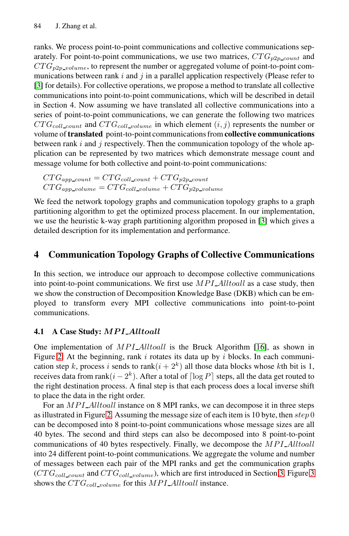ranks. We process point-to-point communications and collective communications separately. For point-to-point communications, we use two matrices,  $CTG_{p2p\_count}$  and  $CTG_{p2p\_volume}$ , to represent the number or aggregated volume of point-to-point communications between rank *i* and *j* in a parallel application respectively (Please refer to [3] for details). For collective operations, we propose a method to translate all collective communications into point-to-point communications, which will be described in detail in Section 4. Now assuming we have translated all collective communications into a series of point-to-point communications, we can generate the following two matrices  $CTG_{coll\_count}$  and  $CTG_{coll\_volume}$  in which element  $(i, j)$  represents the number or volume of **translated** point-to-point communications from **collective communications** between rank *i* and *j* respectively. Then the com[mu](#page-10-0)nication topology of the whole application can be represented by two matrices which demonstrate message count and message volume for both collective and point-to-point communications:

 $CTG_{app\_count} = CTG_{coll\_count} + CTG_{p2p\_count}$  $CTG_{app\_volume} = CTG_{coll\_volume} + CTG_{p2p\_volume}$ 

<span id="page-3-0"></span>We feed the network topology graphs and communication topology graphs to a graph partitioning algorithm to get the optimized process placement. In our implementation, we use the heuristic k-way graph partitioning algorithm proposed in [3] which gives a detailed description for its implementation and performance.

## **4 Communication Topology Graphs of Collective Communications**

In this section, we introduce our approach to [dec](#page-11-4)ompose collective communications into point-to-point communications. We first use *MPI Alltoall* as a case study, then we show the construction of Decomposition Knowledge Base (DKB) which can be employed to transform every MPI collective communications into point-to-point communications.

## **4.1 A Case Study:** *MPI Alltoall*

[One](#page-4-0) implementation of *MPI Alltoall* is the Bruck Algorithm [16], as shown in Figure 2. At the beginning, rank *i* rotates its data up by *i* blocks. In each communication step *k*, process *i* sends to rank $(i + 2<sup>k</sup>)$  all those data blocks whose *k*th bit is 1, receives data from rank $(i - 2<sup>k</sup>)$ . After a total of  $\lceil \log P \rceil$  steps, all the data get routed to the right destination process. A final step is that each process does a local inverse shift the right destination process. A final step is that each process does a local inverse shift to place the data in the right order.

For an *MPI Alltoall* instance on 8 MPI ranks, we [ca](#page-2-1)n deco[mp](#page-4-1)ose it in three steps as illustrated in Figure 2. Assuming the message size of each item is 10 byte, then *step* 0 can be decomposed into 8 point-to-point communications whose message sizes are all 40 bytes. The second and third steps can also be decomposed into 8 point-to-point communications of 40 bytes respectively. Finally, we decompose the *MPI Alltoall* into 24 different point-to-point communications. We aggregate the volume and number of messages between each pair of the MPI ranks and get the communication graphs (*CTGcoll count* and *CTGcoll volume*), which are first introduced in Section 3. Figure 3 shows the *CTGcoll volume* for this *MPI Alltoall* instance.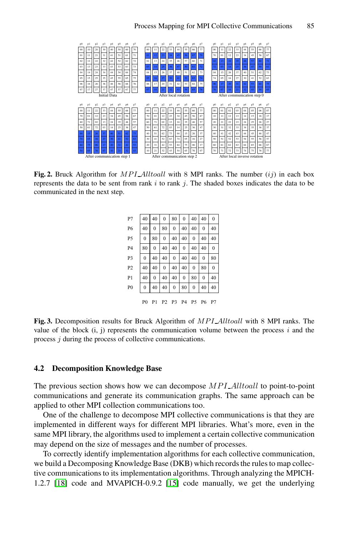

<span id="page-4-0"></span>**Fig. 2.** Bruck Algorithm for *MPI Alltoall* with 8 MPI ranks. The number (*ij*) in each box represents the data to be sent from rank *i* to rank *j*. The shaded boxes indicates the data to be communicated in the next step.

| P7             | 40             | 40           | $\overline{0}$ | 80             | $\mathbf{0}$ | 40             | 40           | $\mathbf{0}$ |
|----------------|----------------|--------------|----------------|----------------|--------------|----------------|--------------|--------------|
| P <sub>6</sub> | 40             | $\mathbf{0}$ | 80             | $\mathbf{0}$   | 40           | 40             | $\mathbf{0}$ | 40           |
| P <sub>5</sub> | $\mathbf{0}$   | 80           | $\mathbf{0}$   | 40             | 40           | $\mathbf{0}$   | 40           | 40           |
| P <sub>4</sub> | 80             | $\mathbf{0}$ | 40             | 40             | $\mathbf{0}$ | 40             | 40           | $\mathbf{0}$ |
| P <sub>3</sub> | $\mathbf{0}$   | 40           | 40             | $\mathbf{0}$   | 40           | 40             | $\mathbf{0}$ | 80           |
| P <sub>2</sub> | 40             | 40           | $\mathbf{0}$   | 40             | 40           | $\mathbf{0}$   | 80           | $\mathbf{0}$ |
| P1             | 40             | $\mathbf{0}$ | 40             | 40             | $\mathbf{0}$ | 80             | $\mathbf{0}$ | 40           |
| P <sub>0</sub> | $\mathbf{0}$   | 40           | 40             | $\mathbf{0}$   | 80           | $\overline{0}$ | 40           | 40           |
|                |                |              |                |                |              |                |              |              |
|                | P <sub>0</sub> | P1           | P <sub>2</sub> | P <sub>3</sub> | P4           | <b>P5</b>      | <b>P6</b>    | P7           |

<span id="page-4-1"></span>**Fig. 3.** Decomposition results for Bruck Algorithm of *MPI Alltoall* with 8 MPI ranks. The value of the block  $(i, j)$  represents the communication volume between the process  $i$  and the process *j* during the process of collective communications.

## **4.2 Decomposition Knowledge Base**

The previous section shows how we can decompose *MPI Alltoall* to point-to-point communications and generate its communication graphs. The same approach can be applied to other MP[I co](#page-11-3)llection communications too.

One of the challenge to decompose MPI collective communications is that they are implemented in different ways for different MPI libraries. What's more, even in the same MPI library, the algorithms used to implement a certain collective communication may depend on the size of messages and the number of processes.

To correctly identify implementation algorithms for each collective communication, we build a Decomposing Knowledge Base (DKB) which records the rules to map collective communications to its implementation algorithms. Through analyzing the MPICH-1.2.7 [18] code and MVAPICH-0.9.2 [15] code manually, we get the underlying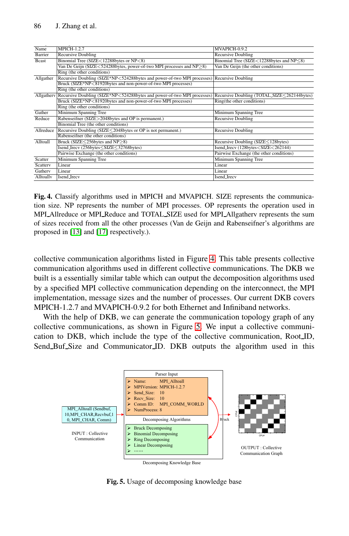| Name          | <b>MPICH-1.2.7</b>                                                                                                                     | MVAPICH-0.9.2                                               |
|---------------|----------------------------------------------------------------------------------------------------------------------------------------|-------------------------------------------------------------|
| Barrier       | Recursive Doubling                                                                                                                     | Recursive Doubling                                          |
| <b>B</b> cast | Binomial Tree (SIZE<12288bytes or NP<8)                                                                                                | Binomial Tree (SIZE<12288bytes and NP<8)                    |
|               | Van De Geijn (SIZE<524288bytes, power-of-two MPI processes and NP>8)                                                                   | Van De Geijn (the other conditions)                         |
|               | Ring (the other conditions)                                                                                                            |                                                             |
| Allgather     | Recursive Doubling (SIZE*NP<524288bytes and power-of-two MPI processes) Recursive Doubling                                             |                                                             |
|               | Bruck (SIZE*NP<81920bytes and non-power-of-two MPI processes)                                                                          |                                                             |
|               | Ring (the other conditions)                                                                                                            |                                                             |
| Allgathery    | Recursive Doubling (SIZE*NP<524288bytes and power-of-two MPI processes)                                                                | Recursive Doubling (TOTAL_SIZE<262144bytes)                 |
|               | Bruck (SIZE*NP<81920bytes and non-power-of-two MPI processes)                                                                          | Ring(the other conditions)                                  |
|               | Ring (the other conditions)                                                                                                            |                                                             |
| Gather        | Minimum Spanning Tree                                                                                                                  | Minimum Spanning Tree                                       |
| Reduce        | Rabenseifner (SIZE>2048bytes and OP is permanent.)                                                                                     | <b>Recursive Doubling</b>                                   |
|               | Binomial Tree (the other conditions)                                                                                                   |                                                             |
| Allreduce     | Recursive Doubling (SIZE<2048bytes or OP is not permanent.)                                                                            | <b>Recursive Doubling</b>                                   |
|               | Rabenseifner (the other conditions)                                                                                                    |                                                             |
| Alltoall      | Bruck (SIZE<256bytes and NP>8)                                                                                                         | Recursive Doubling (SIZE<128bytes)                          |
|               | Isend_Irecv (256bytes <size<32768bytes)< td=""><td>Isend_Irecv (128bytes<size<262144)< td=""></size<262144)<></td></size<32768bytes)<> | Isend_Irecv (128bytes <size<262144)< td=""></size<262144)<> |
|               | Pairwise Exchange (the other conditions)                                                                                               | Pairwise Exchange (the other conditions)                    |
| Scatter       | Minimum Spanning Tree                                                                                                                  | Minimum Spanning Tree                                       |
| Scattery      | Linear                                                                                                                                 | Linear                                                      |
| Gathery       | Linear                                                                                                                                 | Linear                                                      |
| Alltoally     | Isend_Irecv                                                                                                                            | Isend_Irecv                                                 |

**Fig. 4.** Classify algorithms used in MPICH and MVAPICH. SIZE represents the communication size. NP represents the number of MPI processes. OP represents the operation used in MPI\_Allreduce or MPI\_Reduce and TOTAL\_SIZE used for MPI\_Allgatherv represents the sum of sizes received from all the other processes (Van de Geijn and Rabenseifner's algorithms are proposed in [13] and [17] respectively.).

collective communication al[go](#page-5-0)rithms listed in Figure 4. This table presents collective communication algorithms used in different collective communications. The DKB we built is a essentially similar table which can output the decomposition algorithms used by a specified MPI collective communication depending on the interconnect, the MPI implementation, message sizes and the number of processes. Our current DKB covers MPICH-1.2.7 and MVAPICH-0.9.2 for both Ethernet and Infiniband networks.

With the help of DKB, we can generate the communication topology graph of any collective communications, as shown in Figure 5. We input a collective communication to DKB, which include the type of the collective communication, Root ID, Send Buf Size and Communicator ID. DKB outputs the algorithm used in this

<span id="page-5-0"></span>

**Fig. 5.** Usage of decomposing knowledge base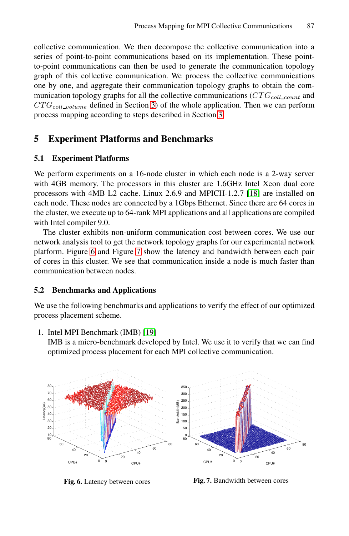<span id="page-6-0"></span>collective communication. We the[n](#page-2-1) [d](#page-2-1)ecompose the collective communication into a series of point-to-point communications based on its implementation. These pointto-point communications can then be used to generate the communication topology graph of this collective communication. We process the collective communications one by one, and aggregate their communication topology graphs to obtain the communication topology graphs for all the collective communications (*CTGcoll count* and *CTGcoll volume* defined in Section 3) of the whole application. Then we can perform process mapping according to steps described [in](#page-11-6) Section 3.

## **5 Experiment Platforms and Benchmarks**

#### **5.1 Experiment Platforms**

We perfor[m](#page-6-1) experiments on a 16-node cluster in which each node is a 2-way server with 4GB memory. The processors in this cluster are 1.6GHz Intel Xeon dual core processors with 4MB L2 cache. Linux 2.6.9 and MPICH-1.2.7 [18] are installed on each node. These nodes are connected by a 1Gbps Ethernet. Since there are 64 cores in the cluster, we execute up to 64-rank MPI applications and all applications are compiled with Intel compiler 9.0.

The cluster exhibits non-uniform communication cost between cores. We use our network analysis tool to get the network topology graphs for our experimental network platform. Figure 6 and Figure 7 show the latency and bandwidth between each pair of cores in t[his](#page-11-7) [c](#page-11-7)luster. We see that communication inside a node is much faster than communication between nodes.

#### **5.2 Benchmarks and Applications**

We use the following benchmarks and applications to verify the effect of our optimized process placement scheme.

1. Intel MPI Benchmark (IMB) [19]

IMB is a micro-benchmark developed by Intel. We use it to verify that we can find optimized process placement for each MPI collective communication.



**Fig. 6.** Latency between cores

<span id="page-6-1"></span>**Fig. 7.** Bandwidth between cores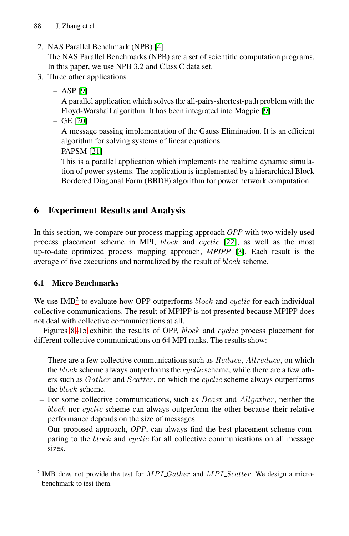- 88 J. Zhang et al.
- 2. NAS Parallel Benchmark (NPB) [4]

The NAS Parallel Benchmarks (NPB) are a set of scientific computation programs. In this paper, we use NPB 3.2 and Class C data set.

- 3. Three other applications
	- $-$  ASP [9]

A parallel application which solves the all-pairs-shortest-path problem with the Floyd-Warshall algorithm. It has been integrated into Magpie [9].

 $-$  GE  $[20]$ 

A message passing implementation of the Gauss Elimination. It is an efficient algorithm for solving systems of linear equations.

 $-$  PAPSM [21]

This is a parallel application which implements the realtime dynamic simulation of power systems. The ap[plic](#page-11-8)ation is implemented by a hierarchical Block Bordered Diagonal Form (BBDF[\)](#page-10-0) [a](#page-10-0)lgorithm for power network computation.

# **6 Experiment Results and Analysis**

In this section, we compare our process mapping approach *OPP* with two widely used process placement scheme in MPI, *block* and *cyclic* [22], as well as the most up-to-date optimized process mapping approach, *MPIPP* [3]. Each result is the average of five executions and normalized by the result of *block* scheme.

#### **6.1 Micro Benchmarks**

We use IMB<sup>2</sup> to evaluate how OPP outperforms *block* and *cyclic* for each individual collective communications. The result of MPIPP is not presented because MPIPP does not deal with collective communications at all.

Figures 8–15 exhibit the results of OPP, *block* and *cyclic* process placement for different collective communications on 64 MPI ranks. The results show:

- There are a few collective communications such as *Reduce*, *Allreduce*, on which the *block* scheme always outperforms the *cyclic* scheme, while there are a few others such as *Gather* and *Scatter*, on which the *cyclic* scheme always outperforms the *block* scheme.
- For some collective communications, such as *Bcast* and *Allgather*, neither the *block* nor *cyclic* scheme can always outperform the other because their relative performance depends on the size of messages.
- Our proposed approach, *OPP*, can always find the best placement scheme comparing to the *block* and *cyclic* for all collective communications on all message sizes.

<sup>2</sup> IMB does not provide the test for *MPI Gather* and *MPI Scatter*. We design a microbenchmark to test them.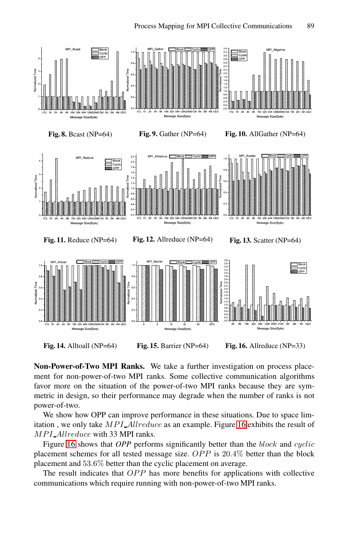

<span id="page-8-0"></span>**Non-Power-of-Two MPI Ranks.** We take a further investigation on process placement for non-power-of-two MPI ranks. Some collective communication algorithms favor more on the situation of the power-of-two MPI ranks because they are symmetric in design, so their performance may degrade when the number of ranks is not power-of-two.

We show how OPP can improve performance in these situations. Due to space limitation , we only take *MPI Allreduce* as an example. Figure 16 exhibits the result of *MPI Allreduce* with 33 MPI ranks.

Figure 16 shows that *OPP* performs significantly better than the *block* and *cyclic* placement schemes for all tested message size. *OPP* is 20*.*4% better than the block placement and 53*.*6% better than the cyclic placement on average.

The result indicates that *OPP* has more benefits for applications with collective communications which require running with non-power-of-two MPI ranks.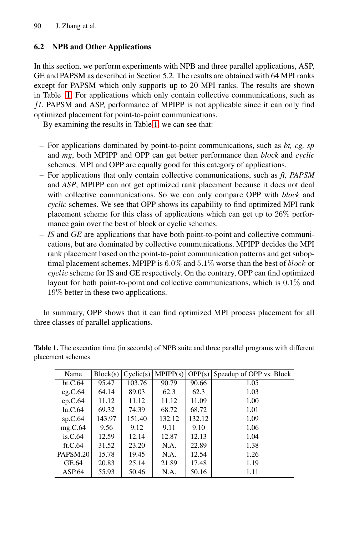# **6.2 NPB and [O](#page-9-0)ther Applications**

In this section, we perform experiments with NPB and three parallel applications, ASP, GE and PAPSM as described in Section 5.2. The results are obtained with 64 MPI ranks except for PAPSM which only supports up to 20 MPI ranks. The results are shown in Table 1. For applications which only contain collective communications, such as *f t*, PAPSM and ASP, performance of MPIPP is not applicable since it can only find optimized placement for point-to-point communications.

By examining the results in Table 1, we can see that:

- For applications dominated by point-to-point communications, such as *bt, cg, sp* and *mg*, both MPIPP and OPP can get better performance than *block* and *cyclic* schemes. MPI and OPP are equally good for this category of applications.
- For applications that only contain collective communications, such as *ft, PAPSM* and *ASP*, MPIPP can not get optimized rank placement because it does not deal with collective communications. So we can only compare OPP with *block* and *cyclic* schemes. We see that OPP shows its capability to find optimized MPI rank placement scheme for this class of applications which can get up to 26% performance gain over the best of block or cyclic schemes.
- *IS* and *GE* are applications that have both point-to-point and collective communications, but are dominated by collective communications. MPIPP decides the MPI rank placement based on the point-to-point communication patterns and get suboptimal placement schemes. MPIPP is 6*.*0% and 5*.*1% worse than the best of *block* or *cyclic* scheme for IS and GE respectively. On the contrary, OPP can find optimized layout for both point-to-point and collective communications, which is 0*.*1% and 19% better in these two applications.

<span id="page-9-0"></span>In summary, OPP shows that it can find optimized MPI process placement for all three classes of parallel applications.

| Name       | Block(s) | Cyclic(s) | $\overline{\text{MPIPP}}(s)$ | OPP(s) | Speedup of OPP vs. Block |
|------------|----------|-----------|------------------------------|--------|--------------------------|
| bt.C.64    | 95.47    | 103.76    | 90.79                        | 90.66  | 1.05                     |
| cg.C.64    | 64.14    | 89.03     | 62.3                         | 62.3   | 1.03                     |
| ep.C.64    | 11.12    | 11.12     | 11.12                        | 11.09  | 1.00                     |
| lu.C.64    | 69.32    | 74.39     | 68.72                        | 68.72  | 1.01                     |
| sp.C.64    | 143.97   | 151.40    | 132.12                       | 132.12 | 1.09                     |
| mg.C.64    | 9.56     | 9.12      | 9.11                         | 9.10   | 1.06                     |
| $i$ s.C.64 | 12.59    | 12.14     | 12.87                        | 12.13  | 1.04                     |
| ft.C.64    | 31.52    | 23.20     | N.A.                         | 22.89  | 1.38                     |
| PAPSM.20   | 15.78    | 19.45     | N.A.                         | 12.54  | 1.26                     |
| GE.64      | 20.83    | 25.14     | 21.89                        | 17.48  | 1.19                     |
| ASP.64     | 55.93    | 50.46     | N.A.                         | 50.16  | 1.11                     |

**Table 1.** The execution time (in seconds) of NPB suite and three parallel programs with different placement schemes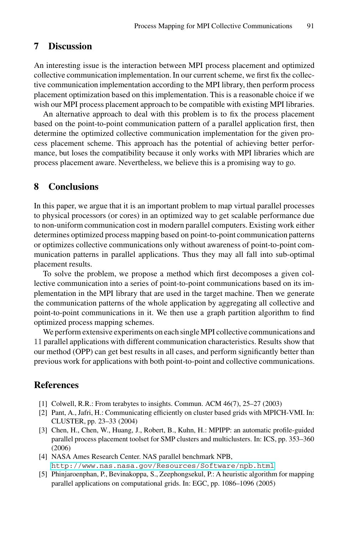# **7 Discussion**

An interesting issue is the interaction between MPI process placement and optimized collective communication implementation. In our current scheme, we first fix the collective communication implementation according to the MPI library, then perform process placement optimization based on this implementation. This is a reasonable choice if we wish our MPI process placement approach to be compatible with existing MPI libraries.

<span id="page-10-2"></span>An alternative approach to deal with this problem is to fix the process placement based on the point-to-point communication pattern of a parallel application first, then determine the optimized collective communication implementation for the given process placement scheme. This approach has the potential of achieving better performance, but loses the compatibility because it only works with MPI libraries which are process placement aware. Nevertheless, we believe this is a promising way to go.

# **8 Conclusions**

In this paper, we argue that it is an important problem to map virtual parallel processes to physical processors (or cores) in an optimized way to get scalable performance due to non-uniform communication cost in modern parallel computers. Existing work either determines optimized process mapping based on point-to-point communication patterns or optimizes collective communications only without awareness of point-to-point communication patterns in parallel applications. Thus they may all fall into sub-optimal placement results.

To solve the problem, we propose a method which first decomposes a given collective communication into a series of point-to-point communications based on its implementation in the MPI library that are used in the target machine. Then we generate the communication patterns of the whole application by aggregating all collective and point-to-point communications in it. We then use a graph partition algorithm to find optimized process mapping schemes.

<span id="page-10-3"></span><span id="page-10-0"></span>We perform extensive experiments on each single MPI collective communications and 11 parallel applications with different communication characteristics. Results show that our method (OPP) can get best results in all cases, and perform significantly better than previous work for applications with both point-to-point and collective communications.

## <span id="page-10-1"></span>**[References](http://www.nas.nasa.gov/Resources/Software/npb.html)**

- [1] Colwell, R.R.: From terabytes to insights. Commun. ACM 46(7), 25–27 (2003)
- [2] Pant, A., Jafri, H.: Communicating efficiently on cluster based grids with MPICH-VMI. In: CLUSTER, pp. 23–33 (2004)
- [3] Chen, H., Chen, W., Huang, J., Robert, B., Kuhn, H.: MPIPP: an automatic profile-guided parallel process placement toolset for SMP clusters and multiclusters. In: ICS, pp. 353–360 (2006)
- [4] NASA Ames Research Center. NAS parallel benchmark NPB, http://www.nas.nasa.gov/Resources/Software/npb.html
- [5] Phinjaroenphan, P., Bevinakoppa, S., Zeephongsekul, P.: A heuristic algorithm for mapping parallel applications on computational grids. In: EGC, pp. 1086–1096 (2005)